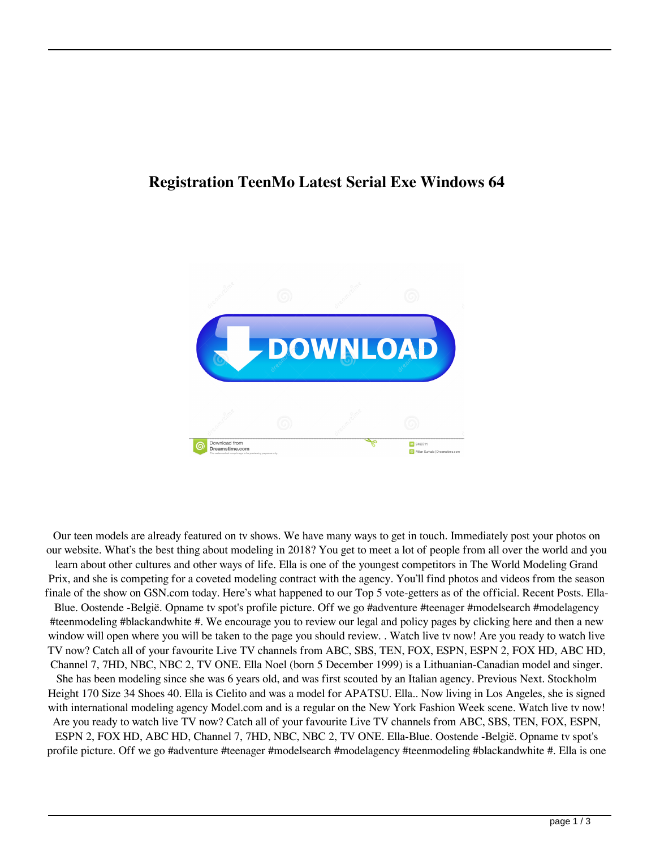## **Registration TeenMo Latest Serial Exe Windows 64**



Our teen models are already featured on tv shows. We have many ways to get in touch. Immediately post your photos on our website. What's the best thing about modeling in 2018? You get to meet a lot of people from all over the world and you learn about other cultures and other ways of life. Ella is one of the youngest competitors in The World Modeling Grand Prix, and she is competing for a coveted modeling contract with the agency. You'll find photos and videos from the season finale of the show on GSN.com today. Here's what happened to our Top 5 vote-getters as of the official. Recent Posts. Ella-Blue. Oostende -België. Opname tv spot's profile picture. Off we go #adventure #teenager #modelsearch #modelagency #teenmodeling #blackandwhite #. We encourage you to review our legal and policy pages by clicking here and then a new window will open where you will be taken to the page you should review. . Watch live tv now! Are you ready to watch live TV now? Catch all of your favourite Live TV channels from ABC, SBS, TEN, FOX, ESPN, ESPN 2, FOX HD, ABC HD, Channel 7, 7HD, NBC, NBC 2, TV ONE. Ella Noel (born 5 December 1999) is a Lithuanian-Canadian model and singer. She has been modeling since she was 6 years old, and was first scouted by an Italian agency. Previous Next. Stockholm Height 170 Size 34 Shoes 40. Ella is Cielito and was a model for APATSU. Ella.. Now living in Los Angeles, she is signed with international modeling agency Model.com and is a regular on the New York Fashion Week scene. Watch live tv now! Are you ready to watch live TV now? Catch all of your favourite Live TV channels from ABC, SBS, TEN, FOX, ESPN, ESPN 2, FOX HD, ABC HD, Channel 7, 7HD, NBC, NBC 2, TV ONE. Ella-Blue. Oostende -België. Opname tv spot's profile picture. Off we go #adventure #teenager #modelsearch #modelagency #teenmodeling #blackandwhite #. Ella is one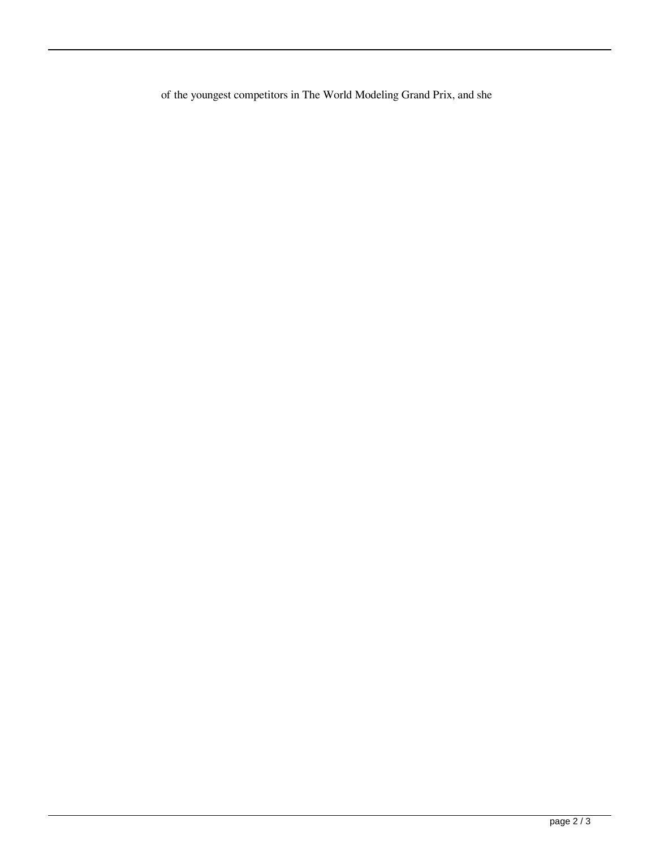of the youngest competitors in The World Modeling Grand Prix, and she